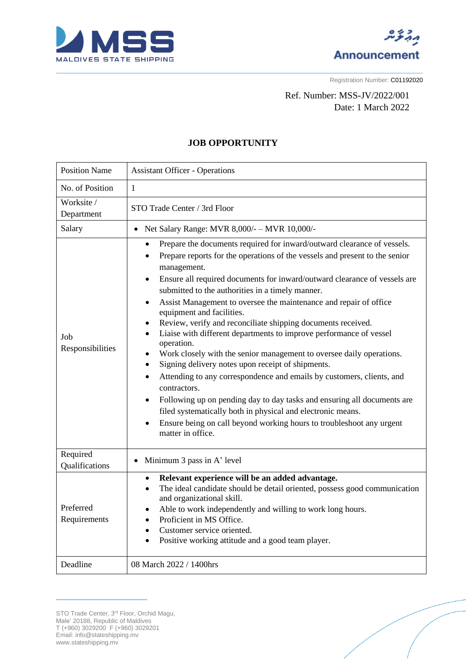



Registration Number: C01192020

## Ref. Number: MSS-JV/2022/001 Date: 1 March 2022

## **JOB OPPORTUNITY**

| <b>Position Name</b>                  | <b>Assistant Officer - Operations</b>                                                                                                                                                                                                                                                                                                                                                                                                                                                                                                                                                                                                                                                                                                                                                                                                                                                                                                                                                                                                                                                                   |
|---------------------------------------|---------------------------------------------------------------------------------------------------------------------------------------------------------------------------------------------------------------------------------------------------------------------------------------------------------------------------------------------------------------------------------------------------------------------------------------------------------------------------------------------------------------------------------------------------------------------------------------------------------------------------------------------------------------------------------------------------------------------------------------------------------------------------------------------------------------------------------------------------------------------------------------------------------------------------------------------------------------------------------------------------------------------------------------------------------------------------------------------------------|
| No. of Position                       | $\mathbf{1}$                                                                                                                                                                                                                                                                                                                                                                                                                                                                                                                                                                                                                                                                                                                                                                                                                                                                                                                                                                                                                                                                                            |
| Worksite /<br>Department              | STO Trade Center / 3rd Floor                                                                                                                                                                                                                                                                                                                                                                                                                                                                                                                                                                                                                                                                                                                                                                                                                                                                                                                                                                                                                                                                            |
| Salary                                | Net Salary Range: MVR 8,000/- - MVR 10,000/-<br>$\bullet$                                                                                                                                                                                                                                                                                                                                                                                                                                                                                                                                                                                                                                                                                                                                                                                                                                                                                                                                                                                                                                               |
| Job<br>Responsibilities               | Prepare the documents required for inward/outward clearance of vessels.<br>$\bullet$<br>Prepare reports for the operations of the vessels and present to the senior<br>$\bullet$<br>management.<br>Ensure all required documents for inward/outward clearance of vessels are<br>$\bullet$<br>submitted to the authorities in a timely manner.<br>Assist Management to oversee the maintenance and repair of office<br>$\bullet$<br>equipment and facilities.<br>Review, verify and reconciliate shipping documents received.<br>$\bullet$<br>Liaise with different departments to improve performance of vessel<br>$\bullet$<br>operation.<br>Work closely with the senior management to oversee daily operations.<br>Signing delivery notes upon receipt of shipments.<br>Attending to any correspondence and emails by customers, clients, and<br>contractors.<br>Following up on pending day to day tasks and ensuring all documents are<br>filed systematically both in physical and electronic means.<br>Ensure being on call beyond working hours to troubleshoot any urgent<br>matter in office. |
| Required<br>Qualifications            | Minimum 3 pass in A' level                                                                                                                                                                                                                                                                                                                                                                                                                                                                                                                                                                                                                                                                                                                                                                                                                                                                                                                                                                                                                                                                              |
| Preferred<br>Requirements<br>Deadline | Relevant experience will be an added advantage.<br>$\bullet$<br>The ideal candidate should be detail oriented, possess good communication<br>$\bullet$<br>and organizational skill.<br>Able to work independently and willing to work long hours.<br>Proficient in MS Office.<br>Customer service oriented.<br>Positive working attitude and a good team player.<br>08 March 2022 / 1400hrs                                                                                                                                                                                                                                                                                                                                                                                                                                                                                                                                                                                                                                                                                                             |
|                                       |                                                                                                                                                                                                                                                                                                                                                                                                                                                                                                                                                                                                                                                                                                                                                                                                                                                                                                                                                                                                                                                                                                         |